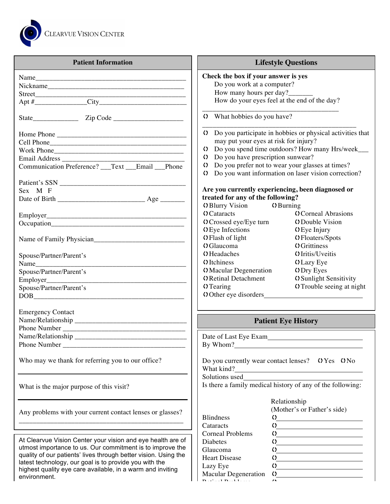

| <b>Patient Information</b>                                                                                                                                                                                                                                                                                                          | <b>Lifestyle Questions</b>                                                                                                                                                                                                                                                                                                                                                                                                                                                                                                                                                                                                                                                                                                                                                                                                                                                                                                                                                                                                                                                     |  |  |  |
|-------------------------------------------------------------------------------------------------------------------------------------------------------------------------------------------------------------------------------------------------------------------------------------------------------------------------------------|--------------------------------------------------------------------------------------------------------------------------------------------------------------------------------------------------------------------------------------------------------------------------------------------------------------------------------------------------------------------------------------------------------------------------------------------------------------------------------------------------------------------------------------------------------------------------------------------------------------------------------------------------------------------------------------------------------------------------------------------------------------------------------------------------------------------------------------------------------------------------------------------------------------------------------------------------------------------------------------------------------------------------------------------------------------------------------|--|--|--|
| Name                                                                                                                                                                                                                                                                                                                                | Check the box if your answer is yes<br>Do you work at a computer?<br>How many hours per day?_______<br>How do your eyes feel at the end of the day?                                                                                                                                                                                                                                                                                                                                                                                                                                                                                                                                                                                                                                                                                                                                                                                                                                                                                                                            |  |  |  |
|                                                                                                                                                                                                                                                                                                                                     | () What hobbies do you have?                                                                                                                                                                                                                                                                                                                                                                                                                                                                                                                                                                                                                                                                                                                                                                                                                                                                                                                                                                                                                                                   |  |  |  |
| Communication Preference? __Text __Email __Phone<br>Sex M F<br>Spouse/Partner/Parent's<br>Name<br>Spouse/Partner/Parent's<br>Employer_<br>Spouse/Partner/Parent's<br>$\boxed{\text{DOB}}_{\text{max}}$                                                                                                                              | () Do you participate in hobbies or physical activities that<br>may put your eyes at risk for injury?<br>Do you spend time outdoors? How many Hrs/week___<br>$\Omega$<br>Do you have prescription sunwear?<br>$\Omega$<br>Do you prefer not to wear your glasses at times?<br>$\Omega$<br>Do you want information on laser vision correction?<br>$\Omega$<br>Are you currently experiencing, been diagnosed or<br>treated for any of the following?<br>O Blurry Vision  (D Burning<br><b>O</b> Cataracts<br><b>OCorneal Abrasions</b><br>O Crossed eye/Eye turn<br><b>ODouble Vision</b><br>O Eye Infections<br>O Eye Injury<br>O Flash of light<br>O Floaters/Spots<br>O Glaucoma<br><b>O</b> Grittiness<br>OHeadaches<br>O Iritis/Uveitis<br>OItchiness<br>O Lazy Eye<br>O Macular Degeneration<br><b>ODry Eyes</b><br>O Retinal Detachment<br>O Sunlight Sensitivity<br>O Trouble seeing at night<br>$Q$ Tearing                                                                                                                                                            |  |  |  |
| <b>Emergency Contact</b>                                                                                                                                                                                                                                                                                                            | <b>Patient Eye History</b>                                                                                                                                                                                                                                                                                                                                                                                                                                                                                                                                                                                                                                                                                                                                                                                                                                                                                                                                                                                                                                                     |  |  |  |
| Name/Relationship                                                                                                                                                                                                                                                                                                                   | Date of Last Eye Exam<br>By Whom?                                                                                                                                                                                                                                                                                                                                                                                                                                                                                                                                                                                                                                                                                                                                                                                                                                                                                                                                                                                                                                              |  |  |  |
| Who may we thank for referring you to our office?                                                                                                                                                                                                                                                                                   | Do you currently wear contact lenses? (The CONS<br>What kind?<br>Solutions used <u>Solutions</u> and the set of the set of the set of the set of the set of the set of the set of the set of the set of the set of the set of the set of the set of the set of the set of the set of the set of the                                                                                                                                                                                                                                                                                                                                                                                                                                                                                                                                                                                                                                                                                                                                                                            |  |  |  |
| What is the major purpose of this visit?                                                                                                                                                                                                                                                                                            | Is there a family medical history of any of the following:                                                                                                                                                                                                                                                                                                                                                                                                                                                                                                                                                                                                                                                                                                                                                                                                                                                                                                                                                                                                                     |  |  |  |
| Any problems with your current contact lenses or glasses?                                                                                                                                                                                                                                                                           | Relationship<br>(Mother's or Father's side)<br><b>Blindness</b><br>$\frac{1}{2}$<br>Cataracts<br>$\Omega$                                                                                                                                                                                                                                                                                                                                                                                                                                                                                                                                                                                                                                                                                                                                                                                                                                                                                                                                                                      |  |  |  |
| At Clearvue Vision Center your vision and eye health are of<br>utmost importance to us. Our commitment is to improve the<br>quality of our patients' lives through better vision. Using the<br>latest technology, our goal is to provide you with the<br>highest quality eye care available, in a warm and inviting<br>environment. | <b>Corneal Problems</b><br>$\frac{0}{2}$ and $\frac{0}{2}$ and $\frac{0}{2}$ and $\frac{0}{2}$ and $\frac{0}{2}$ and $\frac{0}{2}$ and $\frac{0}{2}$ and $\frac{0}{2}$ and $\frac{0}{2}$ and $\frac{0}{2}$ and $\frac{0}{2}$ and $\frac{0}{2}$ and $\frac{0}{2}$ and $\frac{0}{2}$ and $\frac{0}{2}$ and $\frac{0}{2}$ a<br>Diabetes<br>$\Omega$ and $\Omega$ and $\Omega$ and $\Omega$ and $\Omega$ and $\Omega$ and $\Omega$ and $\Omega$ and $\Omega$ and $\Omega$ and $\Omega$ and $\Omega$ and $\Omega$ and $\Omega$ and $\Omega$ and $\Omega$ and $\Omega$ and $\Omega$ and $\Omega$ and $\Omega$ and $\Omega$ and $\Omega$ and $\Omega$ and $\Omega$ and $\Omega$<br>Glaucoma<br>$\frac{1}{2}$<br><b>Heart Disease</b><br>$\Omega$<br>Lazy Eye<br>Macular Degeneration<br>$\frac{0}{0}$ and $\frac{0}{0}$ and $\frac{0}{0}$ and $\frac{0}{0}$ and $\frac{0}{0}$ and $\frac{0}{0}$ and $\frac{0}{0}$ and $\frac{0}{0}$ and $\frac{0}{0}$ and $\frac{0}{0}$ and $\frac{0}{0}$ and $\frac{0}{0}$ and $\frac{0}{0}$ and $\frac{0}{0}$ and $\frac{0}{0}$ and $\frac{0}{0}$ a |  |  |  |